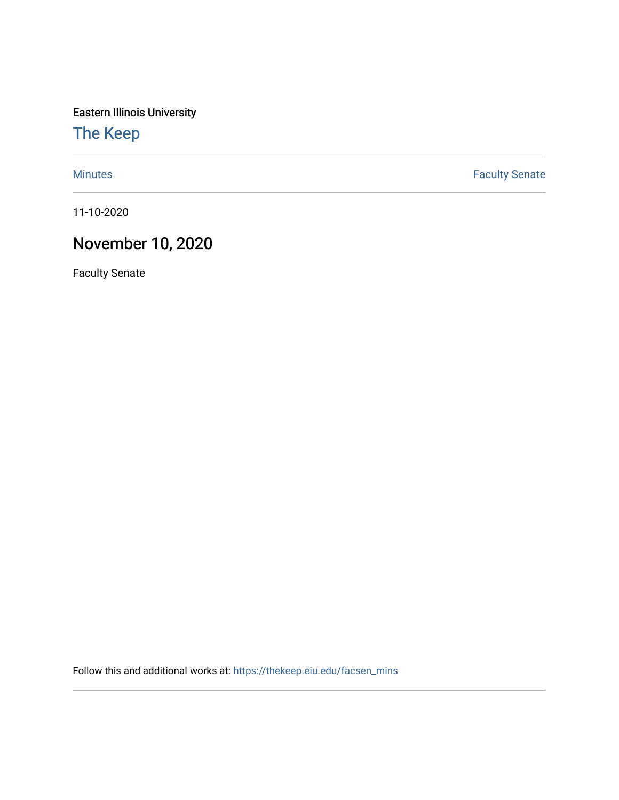Eastern Illinois University

[The Keep](https://thekeep.eiu.edu/) 

[Minutes](https://thekeep.eiu.edu/facsen_mins) **Faculty Senate** 

11-10-2020

## November 10, 2020

Faculty Senate

Follow this and additional works at: [https://thekeep.eiu.edu/facsen\\_mins](https://thekeep.eiu.edu/facsen_mins?utm_source=thekeep.eiu.edu%2Ffacsen_mins%2F1143&utm_medium=PDF&utm_campaign=PDFCoverPages)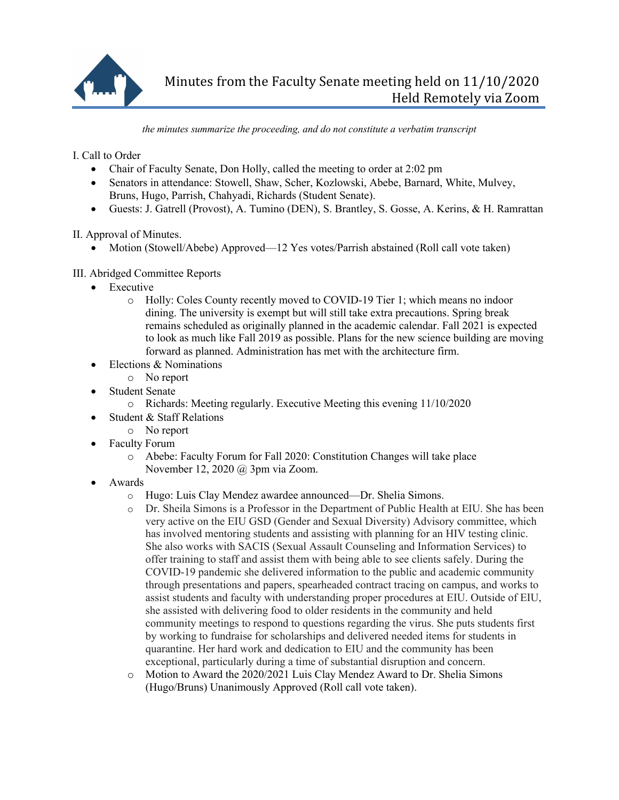

*the minutes summarize the proceeding, and do not constitute a verbatim transcript*

I. Call to Order

- Chair of Faculty Senate, Don Holly, called the meeting to order at 2:02 pm
- Senators in attendance: Stowell, Shaw, Scher, Kozlowski, Abebe, Barnard, White, Mulvey, Bruns, Hugo, Parrish, Chahyadi, Richards (Student Senate).
- Guests: J. Gatrell (Provost), A. Tumino (DEN), S. Brantley, S. Gosse, A. Kerins, & H. Ramrattan

II. Approval of Minutes.

• Motion (Stowell/Abebe) Approved—12 Yes votes/Parrish abstained (Roll call vote taken)

## III. Abridged Committee Reports

- Executive
	- o Holly: Coles County recently moved to COVID-19 Tier 1; which means no indoor dining. The university is exempt but will still take extra precautions. Spring break remains scheduled as originally planned in the academic calendar. Fall 2021 is expected to look as much like Fall 2019 as possible. Plans for the new science building are moving forward as planned. Administration has met with the architecture firm.
- Elections & Nominations
- o No report
- **Student Senate** 
	- o Richards: Meeting regularly. Executive Meeting this evening 11/10/2020
- Student & Staff Relations
	- o No report
- Faculty Forum
	- o Abebe: Faculty Forum for Fall 2020: Constitution Changes will take place November 12, 2020 @ 3pm via Zoom.
- Awards
	- o Hugo: Luis Clay Mendez awardee announced—Dr. Shelia Simons.
	- o Dr. Sheila Simons is a Professor in the Department of Public Health at EIU. She has been very active on the EIU GSD (Gender and Sexual Diversity) Advisory committee, which has involved mentoring students and assisting with planning for an HIV testing clinic. She also works with SACIS (Sexual Assault Counseling and Information Services) to offer training to staff and assist them with being able to see clients safely. During the COVID-19 pandemic she delivered information to the public and academic community through presentations and papers, spearheaded contract tracing on campus, and works to assist students and faculty with understanding proper procedures at EIU. Outside of EIU, she assisted with delivering food to older residents in the community and held community meetings to respond to questions regarding the virus. She puts students first by working to fundraise for scholarships and delivered needed items for students in quarantine. Her hard work and dedication to EIU and the community has been exceptional, particularly during a time of substantial disruption and concern.
	- o Motion to Award the 2020/2021 Luis Clay Mendez Award to Dr. Shelia Simons (Hugo/Bruns) Unanimously Approved (Roll call vote taken).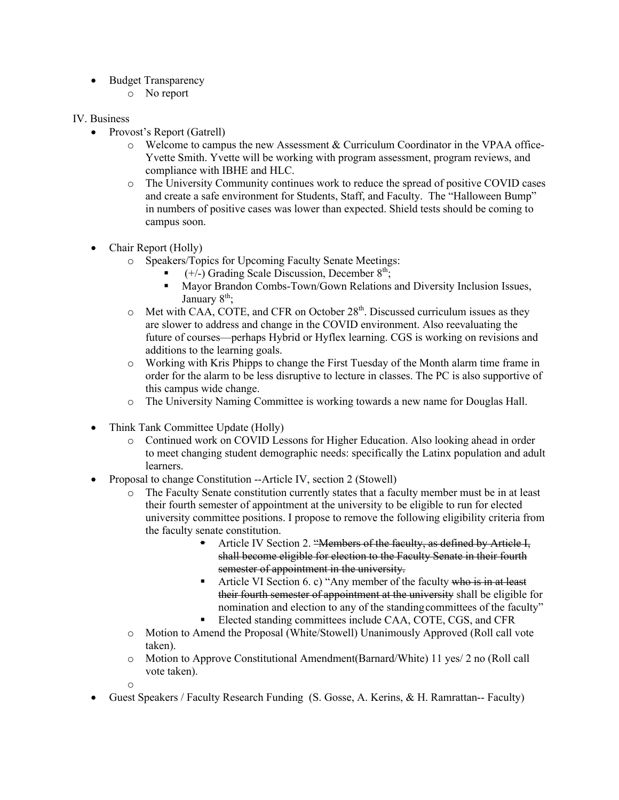- Budget Transparency
	- o No report

## IV. Business

- Provost's Report (Gatrell)
	- o Welcome to campus the new Assessment & Curriculum Coordinator in the VPAA office-Yvette Smith. Yvette will be working with program assessment, program reviews, and compliance with IBHE and HLC.
	- o The University Community continues work to reduce the spread of positive COVID cases and create a safe environment for Students, Staff, and Faculty. The "Halloween Bump" in numbers of positive cases was lower than expected. Shield tests should be coming to campus soon.
- Chair Report (Holly)
	- o Speakers/Topics for Upcoming Faculty Senate Meetings:
		- $(+/-)$  Grading Scale Discussion, December  $8<sup>th</sup>$ ;
		- § Mayor Brandon Combs-Town/Gown Relations and Diversity Inclusion Issues, January  $8<sup>th</sup>$ ;
	- $\circ$  Met with CAA, COTE, and CFR on October 28<sup>th</sup>. Discussed curriculum issues as they are slower to address and change in the COVID environment. Also reevaluating the future of courses—perhaps Hybrid or Hyflex learning. CGS is working on revisions and additions to the learning goals.
	- o Working with Kris Phipps to change the First Tuesday of the Month alarm time frame in order for the alarm to be less disruptive to lecture in classes. The PC is also supportive of this campus wide change.
	- o The University Naming Committee is working towards a new name for Douglas Hall.
- Think Tank Committee Update (Holly)
	- o Continued work on COVID Lessons for Higher Education. Also looking ahead in order to meet changing student demographic needs: specifically the Latinx population and adult learners.
- Proposal to change Constitution --Article IV, section 2 (Stowell)
	- o The Faculty Senate constitution currently states that a faculty member must be in at least their fourth semester of appointment at the university to be eligible to run for elected university committee positions. I propose to remove the following eligibility criteria from the faculty senate constitution.
		- § Article IV Section 2. "Members of the faculty, as defined by Article I, shall become eligible for election to the Faculty Senate in their fourth semester of appointment in the university.
		- Article VI Section 6. c) "Any member of the faculty who is in at least their fourth semester of appointment at the university shall be eligible for nomination and election to any of the standingcommittees of the faculty"
		- Elected standing committees include CAA, COTE, CGS, and CFR
	- o Motion to Amend the Proposal (White/Stowell) Unanimously Approved (Roll call vote taken).
	- o Motion to Approve Constitutional Amendment(Barnard/White) 11 yes/ 2 no (Roll call vote taken).
	- o
- Guest Speakers / Faculty Research Funding (S. Gosse, A. Kerins, & H. Ramrattan-- Faculty)